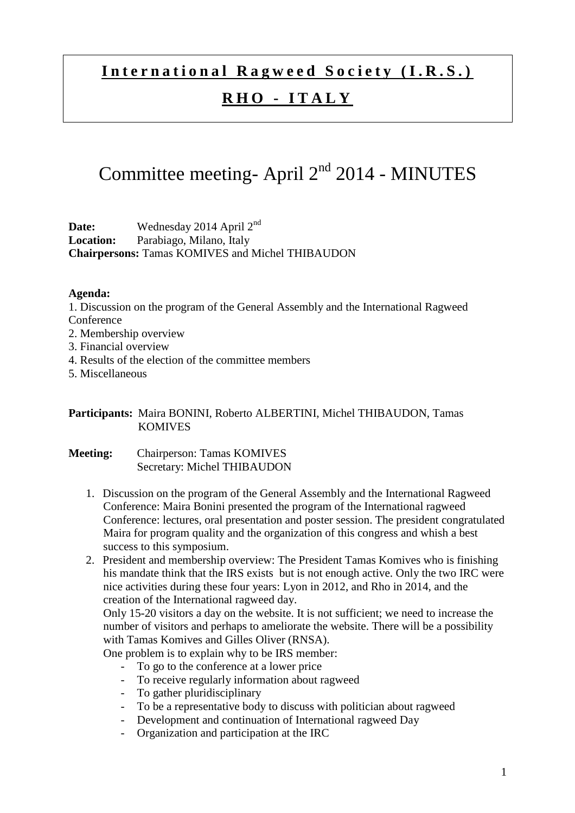## International Ragweed Society (I.R.S.)

### **R H O - I T A L Y**

# Committee meeting- April  $2<sup>nd</sup>$  2014 - MINUTES

**Date:** Wednesday 2014 April 2nd **Location:** Parabiago, Milano, Italy **Chairpersons:** Tamas KOMIVES and Michel THIBAUDON

### **Agenda:**

1. Discussion on the program of the General Assembly and the International Ragweed **Conference** 

- 2. Membership overview
- 3. Financial overview
- 4. Results of the election of the committee members
- 5. Miscellaneous

### **Participants:** Maira BONINI, Roberto ALBERTINI, Michel THIBAUDON, Tamas KOMIVES

- **Meeting:** Chairperson: Tamas KOMIVES Secretary: Michel THIBAUDON
	- 1. Discussion on the program of the General Assembly and the International Ragweed Conference: Maira Bonini presented the program of the International ragweed Conference: lectures, oral presentation and poster session. The president congratulated Maira for program quality and the organization of this congress and whish a best success to this symposium.
	- 2. President and membership overview: The President Tamas Komives who is finishing his mandate think that the IRS exists but is not enough active. Only the two IRC were nice activities during these four years: Lyon in 2012, and Rho in 2014, and the creation of the International ragweed day.

Only 15-20 visitors a day on the website. It is not sufficient; we need to increase the number of visitors and perhaps to ameliorate the website. There will be a possibility with Tamas Komives and Gilles Oliver (RNSA).

One problem is to explain why to be IRS member:

- To go to the conference at a lower price
- To receive regularly information about ragweed
- To gather pluridisciplinary
- To be a representative body to discuss with politician about ragweed
- Development and continuation of International ragweed Day
- Organization and participation at the IRC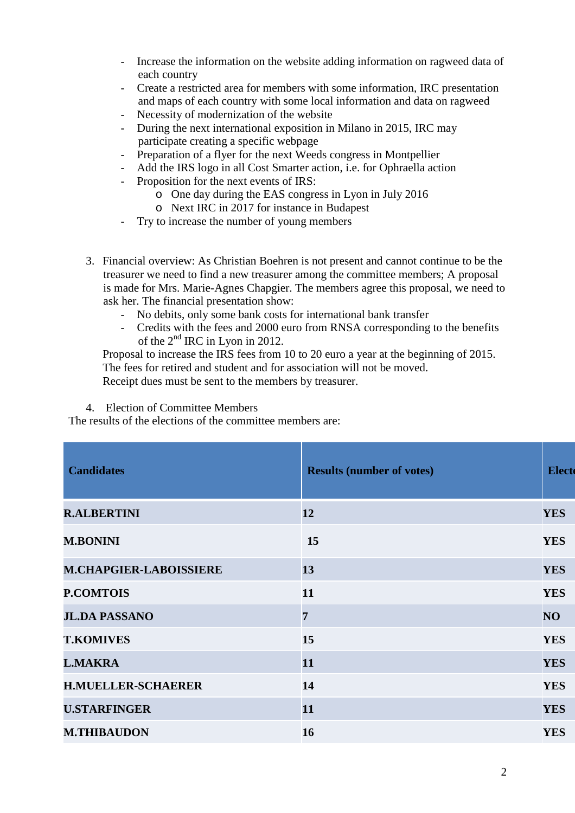- Increase the information on the website adding information on ragweed data of each country
- Create a restricted area for members with some information, IRC presentation and maps of each country with some local information and data on ragweed
- Necessity of modernization of the website
- During the next international exposition in Milano in 2015, IRC may participate creating a specific webpage
- Preparation of a flyer for the next Weeds congress in Montpellier
- Add the IRS logo in all Cost Smarter action, i.e. for Ophraella action
- Proposition for the next events of IRS:
	- o One day during the EAS congress in Lyon in July 2016
	- o Next IRC in 2017 for instance in Budapest
- Try to increase the number of young members
- 3. Financial overview: As Christian Boehren is not present and cannot continue to be the treasurer we need to find a new treasurer among the committee members; A proposal is made for Mrs. Marie-Agnes Chapgier. The members agree this proposal, we need to ask her. The financial presentation show:
	- No debits, only some bank costs for international bank transfer
	- Credits with the fees and 2000 euro from RNSA corresponding to the benefits of the  $2<sup>nd</sup>$  IRC in Lyon in 2012.

Proposal to increase the IRS fees from 10 to 20 euro a year at the beginning of 2015. The fees for retired and student and for association will not be moved. Receipt dues must be sent to the members by treasurer.

4. Election of Committee Members

The results of the elections of the committee members are:

| <b>Candidates</b>             | <b>Results (number of votes)</b> | <b>Electe</b> |
|-------------------------------|----------------------------------|---------------|
| <b>R.ALBERTINI</b>            | 12                               | <b>YES</b>    |
| <b>M.BONINI</b>               | 15                               | <b>YES</b>    |
| <b>M.CHAPGIER-LABOISSIERE</b> | 13                               | <b>YES</b>    |
| <b>P.COMTOIS</b>              | 11                               | <b>YES</b>    |
| <b>JL.DA PASSANO</b>          | $\overline{7}$                   | NO            |
| <b>T.KOMIVES</b>              | 15                               | <b>YES</b>    |
| <b>L.MAKRA</b>                | 11                               | <b>YES</b>    |
| <b>H.MUELLER-SCHAERER</b>     | 14                               | <b>YES</b>    |
| <b>U.STARFINGER</b>           | 11                               | <b>YES</b>    |
| <b>M.THIBAUDON</b>            | 16                               | <b>YES</b>    |